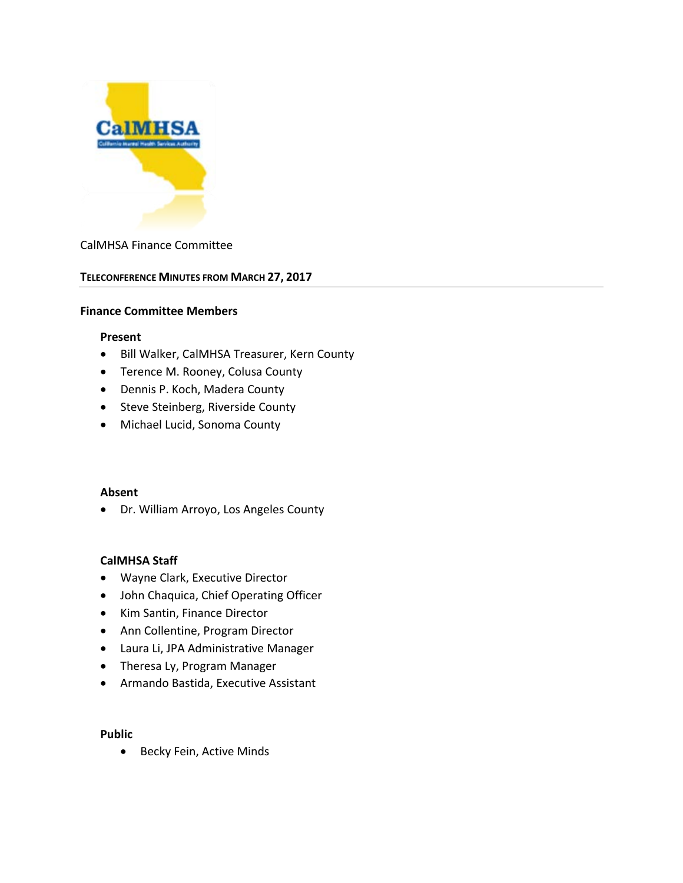

#### CalMHSA Finance Committee

#### **TELECONFERENCE MINUTES FROM MARCH 27, 2017**

#### **Finance Committee Members**

#### **Present**

- Bill Walker, CalMHSA Treasurer, Kern County
- Terence M. Rooney, Colusa County
- Dennis P. Koch, Madera County
- Steve Steinberg, Riverside County
- Michael Lucid, Sonoma County

#### **Absent**

• Dr. William Arroyo, Los Angeles County

#### **CalMHSA Staff**

- Wayne Clark, Executive Director
- John Chaquica, Chief Operating Officer
- Kim Santin, Finance Director
- Ann Collentine, Program Director
- Laura Li, JPA Administrative Manager
- Theresa Ly, Program Manager
- Armando Bastida, Executive Assistant

#### **Public**

• Becky Fein, Active Minds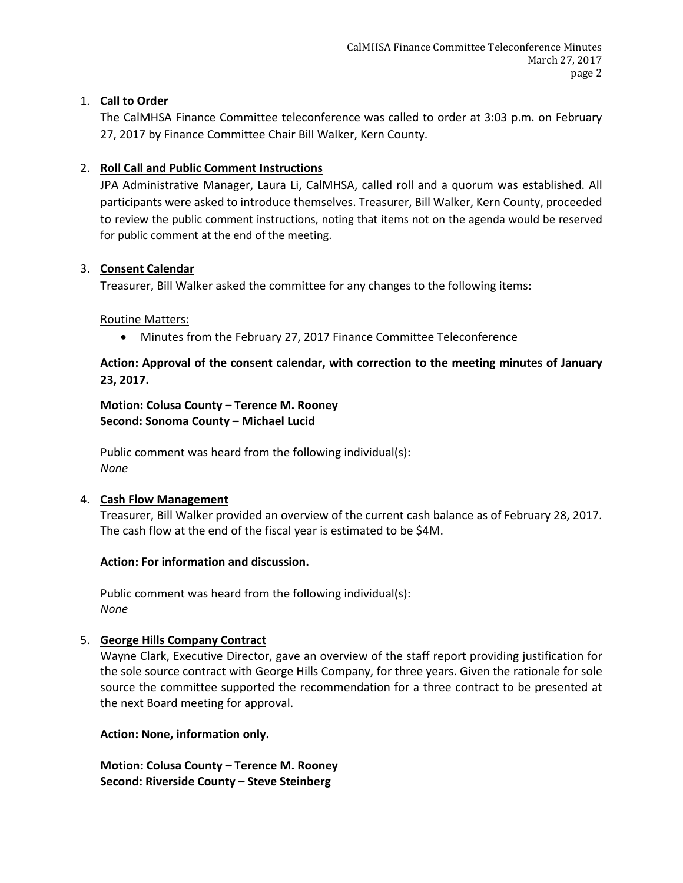# 1. **Call to Order**

The CalMHSA Finance Committee teleconference was called to order at 3:03 p.m. on February 27, 2017 by Finance Committee Chair Bill Walker, Kern County.

# 2. **Roll Call and Public Comment Instructions**

JPA Administrative Manager, Laura Li, CalMHSA, called roll and a quorum was established. All participants were asked to introduce themselves. Treasurer, Bill Walker, Kern County, proceeded to review the public comment instructions, noting that items not on the agenda would be reserved for public comment at the end of the meeting.

## 3. **Consent Calendar**

Treasurer, Bill Walker asked the committee for any changes to the following items:

## Routine Matters:

• Minutes from the February 27, 2017 Finance Committee Teleconference

# **Action: Approval of the consent calendar, with correction to the meeting minutes of January 23, 2017.**

**Motion: Colusa County – Terence M. Rooney Second: Sonoma County – Michael Lucid**

Public comment was heard from the following individual(s): *None*

## 4. **Cash Flow Management**

Treasurer, Bill Walker provided an overview of the current cash balance as of February 28, 2017. The cash flow at the end of the fiscal year is estimated to be \$4M.

## **Action: For information and discussion.**

Public comment was heard from the following individual(s): *None*

## 5. **George Hills Company Contract**

Wayne Clark, Executive Director, gave an overview of the staff report providing justification for the sole source contract with George Hills Company, for three years. Given the rationale for sole source the committee supported the recommendation for a three contract to be presented at the next Board meeting for approval.

## **Action: None, information only.**

**Motion: Colusa County – Terence M. Rooney Second: Riverside County – Steve Steinberg**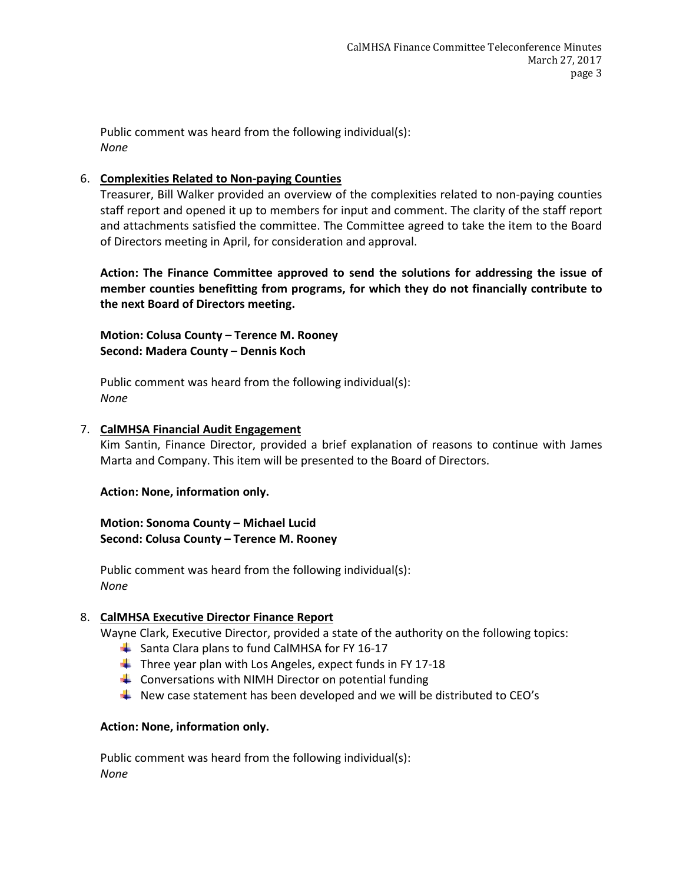Public comment was heard from the following individual(s): *None*

#### 6. **Complexities Related to Non-paying Counties**

Treasurer, Bill Walker provided an overview of the complexities related to non-paying counties staff report and opened it up to members for input and comment. The clarity of the staff report and attachments satisfied the committee. The Committee agreed to take the item to the Board of Directors meeting in April, for consideration and approval.

**Action: The Finance Committee approved to send the solutions for addressing the issue of member counties benefitting from programs, for which they do not financially contribute to the next Board of Directors meeting.**

**Motion: Colusa County – Terence M. Rooney Second: Madera County – Dennis Koch** 

Public comment was heard from the following individual(s): *None*

#### 7. **CalMHSA Financial Audit Engagement**

Kim Santin, Finance Director, provided a brief explanation of reasons to continue with James Marta and Company. This item will be presented to the Board of Directors.

**Action: None, information only.**

#### **Motion: Sonoma County – Michael Lucid Second: Colusa County – Terence M. Rooney**

Public comment was heard from the following individual(s): *None*

## 8. **CalMHSA Executive Director Finance Report**

Wayne Clark, Executive Director, provided a state of the authority on the following topics:

- Santa Clara plans to fund CalMHSA for FY 16-17
- $\ddot{\bullet}$  Three year plan with Los Angeles, expect funds in FY 17-18
- $\triangleq$  Conversations with NIMH Director on potential funding
- New case statement has been developed and we will be distributed to CEO's

## **Action: None, information only.**

Public comment was heard from the following individual(s): *None*